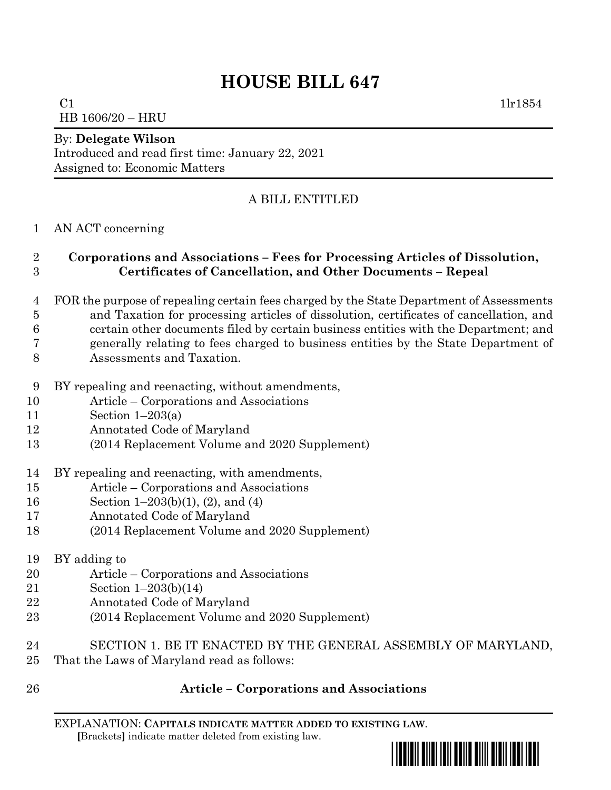# **HOUSE BILL 647**

 $C1$  1lr1854 HB 1606/20 – HRU

#### By: **Delegate Wilson**

Introduced and read first time: January 22, 2021 Assigned to: Economic Matters

## A BILL ENTITLED

#### AN ACT concerning

### **Corporations and Associations – Fees for Processing Articles of Dissolution, Certificates of Cancellation, and Other Documents – Repeal**

- FOR the purpose of repealing certain fees charged by the State Department of Assessments and Taxation for processing articles of dissolution, certificates of cancellation, and certain other documents filed by certain business entities with the Department; and generally relating to fees charged to business entities by the State Department of
- Assessments and Taxation.
- BY repealing and reenacting, without amendments,
- Article Corporations and Associations
- Section 1–203(a)
- Annotated Code of Maryland
- (2014 Replacement Volume and 2020 Supplement)
- BY repealing and reenacting, with amendments,
- Article Corporations and Associations
- Section 1–203(b)(1), (2), and (4)
- Annotated Code of Maryland
- (2014 Replacement Volume and 2020 Supplement)
- BY adding to
- Article Corporations and Associations
- Section 1–203(b)(14)
- Annotated Code of Maryland
- (2014 Replacement Volume and 2020 Supplement)
- SECTION 1. BE IT ENACTED BY THE GENERAL ASSEMBLY OF MARYLAND, That the Laws of Maryland read as follows:
- 

## **Article – Corporations and Associations**

EXPLANATION: **CAPITALS INDICATE MATTER ADDED TO EXISTING LAW**.  **[**Brackets**]** indicate matter deleted from existing law.

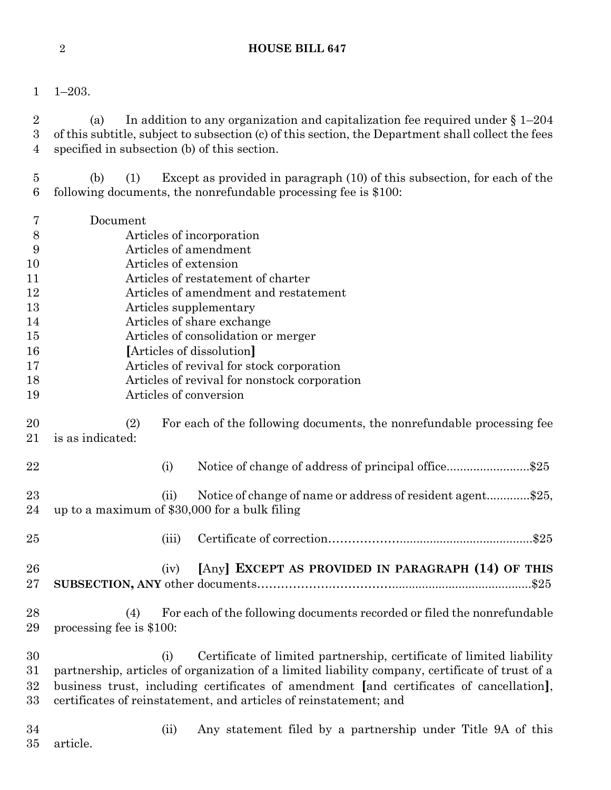- 
- 1–203.

2 (a) In addition to any organization and capitalization fee required under  $\S 1-204$  of this subtitle, subject to subsection (c) of this section, the Department shall collect the fees specified in subsection (b) of this section.

 (b) (1) Except as provided in paragraph (10) of this subsection, for each of the following documents, the nonrefundable processing fee is \$100:

 Document Articles of incorporation Articles of amendment Articles of extension Articles of restatement of charter Articles of amendment and restatement Articles supplementary Articles of share exchange Articles of consolidation or merger **[**Articles of dissolution**]** Articles of revival for stock corporation Articles of revival for nonstock corporation Articles of conversion (2) For each of the following documents, the nonrefundable processing fee is as indicated: 22 (i) Notice of change of address of principal office.........................\$25 23 (ii) Notice of change of name or address of resident agent..............\$25, up to a maximum of \$30,000 for a bulk filing (iii) Certificate of correction………………........................................\$25 (iv) **[**Any**] EXCEPT AS PROVIDED IN PARAGRAPH (14) OF THIS SUBSECTION, ANY** other documents……………….……………..........................................\$25 (4) For each of the following documents recorded or filed the nonrefundable processing fee is \$100: (i) Certificate of limited partnership, certificate of limited liability partnership, articles of organization of a limited liability company, certificate of trust of a business trust, including certificates of amendment **[**and certificates of cancellation**]**, certificates of reinstatement, and articles of reinstatement; and (ii) Any statement filed by a partnership under Title 9A of this article.